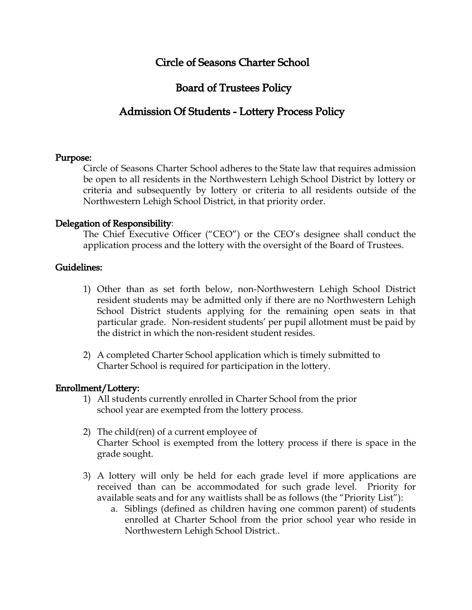# Circle of Seasons Charter School

# Board of Trustees Policy

# Admission Of Students - Lottery Process Policy

#### Purpose:

Circle of Seasons Charter School adheres to the State law that requires admission be open to all residents in the Northwestern Lehigh School District by lottery or criteria and subsequently by lottery or criteria to all residents outside of the Northwestern Lehigh School District, in that priority order.

#### Delegation of Responsibility:

The Chief Executive Officer ("CEO") or the CEO's designee shall conduct the application process and the lottery with the oversight of the Board of Trustees.

#### Guidelines:

- 1) Other than as set forth below, non-Northwestern Lehigh School District resident students may be admitted only if there are no Northwestern Lehigh School District students applying for the remaining open seats in that particular grade. Non-resident students' per pupil allotment must be paid by the district in which the non-resident student resides.
- 2) A completed Charter School application which is timely submitted to Charter School is required for participation in the lottery.

### Enrollment/Lottery:

- 1) All students currently enrolled in Charter School from the prior school year are exempted from the lottery process.
- 2) The child(ren) of a current employee of Charter School is exempted from the lottery process if there is space in the grade sought.
- 3) A lottery will only be held for each grade level if more applications are received than can be accommodated for such grade level. Priority for available seats and for any waitlists shall be as follows (the "Priority List"):
	- a. Siblings (defined as children having one common parent) of students enrolled at Charter School from the prior school year who reside in Northwestern Lehigh School District..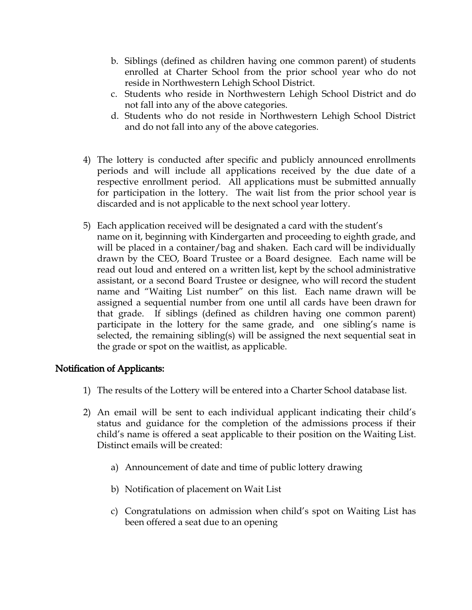- b. Siblings (defined as children having one common parent) of students enrolled at Charter School from the prior school year who do not reside in Northwestern Lehigh School District.
- c. Students who reside in Northwestern Lehigh School District and do not fall into any of the above categories.
- d. Students who do not reside in Northwestern Lehigh School District and do not fall into any of the above categories.
- 4) The lottery is conducted after specific and publicly announced enrollments periods and will include all applications received by the due date of a respective enrollment period. All applications must be submitted annually for participation in the lottery. The wait list from the prior school year is discarded and is not applicable to the next school year lottery.
- 5) Each application received will be designated a card with the student's name on it, beginning with Kindergarten and proceeding to eighth grade, and will be placed in a container/bag and shaken. Each card will be individually drawn by the CEO, Board Trustee or a Board designee. Each name will be read out loud and entered on a written list, kept by the school administrative assistant, or a second Board Trustee or designee, who will record the student name and "Waiting List number" on this list. Each name drawn will be assigned a sequential number from one until all cards have been drawn for that grade. If siblings (defined as children having one common parent) participate in the lottery for the same grade, and one sibling's name is selected, the remaining sibling(s) will be assigned the next sequential seat in the grade or spot on the waitlist, as applicable.

## Notification of Applicants:

- 1) The results of the Lottery will be entered into a Charter School database list.
- 2) An email will be sent to each individual applicant indicating their child's status and guidance for the completion of the admissions process if their child's name is offered a seat applicable to their position on the Waiting List. Distinct emails will be created:
	- a) Announcement of date and time of public lottery drawing
	- b) Notification of placement on Wait List
	- c) Congratulations on admission when child's spot on Waiting List has been offered a seat due to an opening